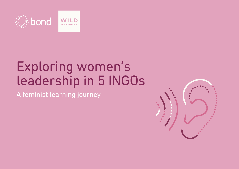

# Exploring women's leadership in 5 INGOs

A feminist learning journey

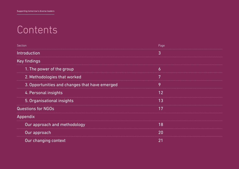# **Contents**

| Section                                        | Page |  |
|------------------------------------------------|------|--|
| Introduction                                   | 3    |  |
| <b>Key findings</b>                            |      |  |
| 1. The power of the group                      |      |  |
| 2. Methodologies that worked                   |      |  |
| 3. Opportunities and changes that have emerged | O    |  |
| 4. Personal insights                           | 12   |  |
| 5. Organisational insights                     | 13   |  |
| <b>Questions for NGOs</b>                      | 17   |  |
| Appendix                                       |      |  |
| Our approach and methodology                   | 18   |  |
| Our approach                                   | 20   |  |
| Our changing context                           |      |  |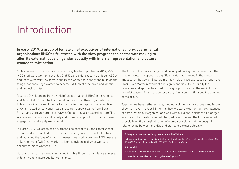## Introduction

In early 2019, a group of female chief executives of international non-governmental organisations (INGOs), frustrated with the slow progress the sector was making to align its external focus on gender equality with internal representation and culture, wanted to take action.

So few women in the INGO sector are in key leadership roles: in 2019, 70% of INGO staff were women, but only 30-35% were chief executive officers (CEOs) and there were very few female chairs. We wanted to identify and build on the things that encourage women to become INGO chief executives and identify and unblock barriers.

Restless Development, Plan UK, HelpAge International, BRAC International and ActionAid UK identified women directors within their organisations to lead their involvement. Penny Lawrence, former deputy chief executive of Oxfam, acted as convenor. Action research support came from Sarah Fraser and Carolyn Norgate at Mayvin, Gender research expertise from Tina Wallace and network and diversity and inclusion support from Lena Bheeroo, engagement and equity manager at Bond.

In March 2019, we organised a workshop as part of the Bond conference to explore wider interest. More than 90 attendees generated our first data set and launched the idea of an action research network – Women INGO Leaders in Development (WILD) network – to identify evidence of what works to encourage more women CEOs.

Bond and Fair Share campaign gained insights through quantitative surveys. Wild aimed to explore qualitative insights.

The focus of the work changed and developed during the turbulent months that followed, in response to significant external changes in the context imposed by the Covid-19 pandemic, the crisis of race expressed through the Black Lives Matter movement and significant aid cuts. Internally the principles and approaches used by the group to underpin the work, those of feminist leadership and action research, significantly influenced the thinking of the group.

Together we have gathered data, tried out solutions, shared ideas and issues of concern over the last 18 months; how we were weathering the challenges at home, within our organisations, and with our global partners all emerged as critical. The questions asked changed over time and the focus widened especially on the marginalisation of women or colour and the unequal relationships between the HQs and staff and partners globally.

This report was written by Penny Lawrence and Tina Wallace.

Published by Bond, Society Building, 8 All Saints Street, London N1 9RL, UK Registered Charity No. 1068839 Company Registration No. 3395681 (England and Wales)

© Bond, 2021

This work is licensed under a Creative Commons Attribution-NonCommercial 4.0 International

License, https://creativecommons.org/licenses/by-nc/4.0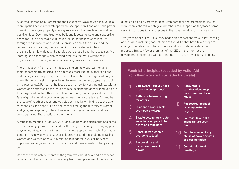A lot was learned about emergent and responsive ways of working, using a more applied action research approach (see appendix ) and about the power of working as a group openly sharing success and failure, fears as well as positive ideas. Over time trust was built and it became safe and supportive space for us to discuss difficult issues including the loss of colleagues through redundancies and Covid-19, anxieties about the future, and the issues of racism as they were unfolding during debates in their organisations. New ideas and energies were shared and there was positive learning and exchange which carried over into the work within their organisations. Cross organisational learning was a rich experience.

There was a shift from the main focus being on individual women and their leadership trajectories to an approach more rooted in analysing and addressing issues of power, voice and control within their organisations, in line with the feminist principles being followed by the group (see the list of principles below). For some the focus became how to work inclusively with all women and better tackle the issues of race, racism and gender inequalities in their organisation; for others the role of patriarchy and its persistence in the face of good, equitable policies on paper was the key challenge. For another the issue of youth engagement was also central. New thinking about power relationships, the opportunities and barriers facing the diversity of women and girls, and exploring different ways of working led to new initiatives in some agencies. These actions are on-going.

A reflection meeting in January 2021 showed how far participants had come on our learning journey. The need for flexibility of thinking, challenging past ways of working, and experimenting with new approaches. Each of us had a personal journey as well as a shared journey around the challenges facing women and women of colour in relation to leadership, exploring where opportunities, large and small, for positive and transformation change might lie.

One of the main achievements of the group was that it provided a space for reflection and experimentation in a very hectic and pressured time, allowed questioning and diversity of ideas. Both personal and professional issues were openly shared, which gave members real support as they faced some very difficult questions and issues in their lives, work and organisations.

Two years after our WILD journey began, this report shares our key learning and insights, including case studies of five NGOs that have taken steps to change. The latest Fair Share monitor and Bond data indicate some progress. But still fewer than half of the CEOs in the international development sector are women, and there are even fewer female chairs.

7

#### Feminist principles (supplied by ActionAid from their work with [Srilatha B](https://www.justassociates.org/)atliwala)

- Self-aware: 'put your ego in the passenger seat' 1
- Self–care before caring for others 2
- Dismantle bias: check your own privilege 3
- Enable belonging: create ways for everyone to be heard and take part  $\overline{\mathbf{A}}$
- Share power: enable everyone to lead 5
- Responsible and transparent use of power 6
- Accountable collaboration: keep the commitments you make
- Respectful feedback as an opportunity to grow 8
- Courage: take risks, 'make failure your fuel' **9**
- Zero tolerance of any abuse of power or acts of discrimination 10
- Confidentiality of meetings 11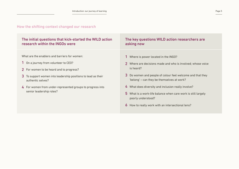#### How the shifting context changed our research

#### The initial questions that kick-started the WILD action research within the INGOs were

What are the enablers and barriers for women:

- 1 On a journey from volunteer to CEO?
- 2 For women to be heard and to progress?
- $3$  To support women into leadership positions to lead as their authentic selves?
- $\boldsymbol{4}$  For women from under-represented groups to progress into senior leadership roles?

#### The key questions WILD action researchers are asking now

- 1 Where is power located in the INGO?
- 2 Where are decisions made and who is involved; whose voice is heard?
- 3 Do women and people of colour feel welcome and that they 'belong' – can they be themselves at work?
- 4 What does diversity and inclusion really involve?
- 5 What is a work-life balance when care work is still largely poorly understood?
- 6 How to really work with an intersectional lens?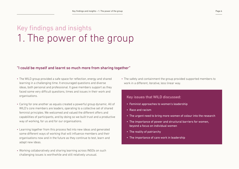### Key findings and insights 1. The power of the group

#### "I could be myself and learnt so much more from sharing together"

- The WILD group provided a safe space for reflection, energy and shared learning in a challenging time. It encouraged questions and diverse ideas, both personal and professional. It gave members support as they faced some very difficult questions, times and issues in their work and organisations.
- Caring for one another as equals created a powerful group dynamic. All of WILD's core members are leaders, operating to a collective set of shared feminist principles. We welcomed and valued the different offers and capabilities of participants, and by doing so we built trust and a productive way of working, for us and for our organisations.
- Learning together from this process fed into new ideas and generated some different ways of working that will influence members and their organisations now and in the future as they continue to test, learn and adapt new ideas.
- Working collaboratively and sharing learning across INGOs on such challenging issues is worthwhile and still relatively unusual.

• The safety and containment the group provided supported members to work in a different, iterative, less linear way.

#### Key issues that WILD discussed:

- Feminist approaches to women's leadership
- Race and racism
- The urgent need to bring more women of colour into the research
- The importance of power and structural barriers for women, beyond a focus on individual women
- The reality of patriarchy
- The importance of care work in leadership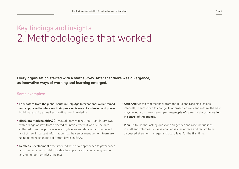### Key findings and insights 2. Methodologies that worked

Every organisation started with a staff survey. After that there was divergence, as innovative ways of working and learning emerged.

#### Some examples:

- Facilitators from the global south in Help Age International were trained and supported to interview their peers on issues of exclusion and power building capacity as well as creating new knowledge.
- **· BRAC International (BRACI)** invested heavily in key informant interviews with a range of staff from selected countries where it works. The data collected from this process was rich, diverse and detailed and conveyed a lot of new important information that the senior management team are using to make changes a different levels in BRACI.
- **Restless Development** experimented with new approaches to governance and created a new model of [co-leadership](https://anchor.fm/restless-development/episodes/Restless-Developments-co-lead-story-eov7th), shared by two young women and run under feminist principles.
- ActionAid UK felt that feedback from the BLM and race discussions internally meant it had to change its approach entirely and rethink the best ways to work on these issues, **putting people of colour in the organisation** in control of the agenda.
- Plan UK found that asking questions on gender and race inequalities in staff and volunteer surveys enabled issues of race and racism to be discussed at senior manager and board level for the first time.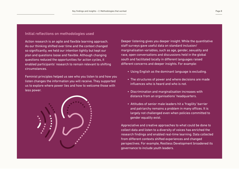#### Initial reflections on methodologies used

Action research is an agile and flexible learning approach. As our thinking shifted over time and the context changed so significantly, we held our intention tightly but kept our plan and questions loose and flexible. Although changing questions reduced the opportunities for action cycles, it enabled participants' research to remain relevant to shifting circumstances.

Feminist principles helped us see who you listen to and how you listen changes the information you will receive. They supported us to explore where power lies and how to welcome those with less power.



Deeper listening gives you deeper insight. While the quantitative staff surveys gave useful data on standard inclusion/ marginalisation variables, such as age, gender, sexuality and race, open conversations and discussions held in the global south and facilitated locally in different languages raised different concerns and deeper insights. For example:

- Using English as the dominant language is excluding.
- The structures of power and where decisions are made influences who is heard and who is not.
- Discrimination and marginalisation increases with distance from an organisations' headquarters.
- Attitudes of senior male leaders hit a 'fragility' barrier and patriarchy remains a problem in many offices. It is largely not challenged even when policies committed to gender equality exist.

Appreciative and creative approaches to what could be done to collect data and listen to a diversity of voices has enriched the research findings and enabled real-time learning. Data collected from different contexts shifted experiences and changed perspectives. For example, Restless Development broadened its governance to include youth leaders.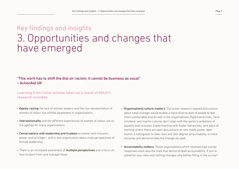### Key findings and insights 3. Opportunities and changes that have emerged

#### "This work has to shift the dial on racism; it cannot be business as usual" – ActionAid UK

#### Learning from initial actions taken as a result of WILD's research includes:

- Openly raising the lack of women leaders and the low representation of women of colour has shifted awareness in organisations.
- Intersectionality and the different experiences of women of colour are on the agenda for many organisations.
- Conversations with leadership and trustees on power and inclusion, power and privilege – and in one organisation about male perspectives of female leadership.
- There is an increased awareness of multiple perspectives and a focus on how to learn from and manage these.
- Organisational culture matters. The action research opened discussions about what changes would enable a more diverse pool of people to feel more comfortable and do well in the organisations. Rigid hierarchies, 'hero missions' and macho cultures don't align with the sector's ambitions of equality and inclusion. Experimenting with flatter hierarchies, and ways of working where there are open discussions on who holds power, open hearts, a willingness to take risks and 360-degree accountability, is more inclusive and demonstrates the change we seek.
- Accountability matters. Those organisations which received high survey responses were also the ones that demonstrated accountability. If you're asked for your view and nothing changes why bother filling in the survey?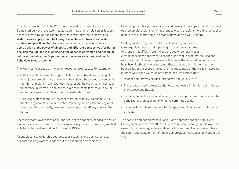Enabling more women to be CEOs goes beyond recruitment and numbers. Some staff surveys revealed that although male and female senior leaders seem to have similar aspirations they have very different expectations. Wider issues at play that block progress include exclusive leadership models and practices that decrease belonging and inclusion, a lack of appreciation of the power of diversity and different perspectives for better decision making, the lack of 'seeing' the absence of women and people of colour at the table, men's perceptions of women's abilities, and men's behaviour towards women.

The work led to change as the action research progressed. For example:

- At Restless Development, budget cuts led to a deliberate refocusing of which jobs were priorities and where they should be located, driven by the intention of making major changes. As a result, the organisation has seen an increase in women in senior posts, a rise in posts located outside the UK, and a major rise in people of colour in leadership roles.
- At HelpAge International an internal restructure following budget cuts enabled a 'global' team to be created, replacing the London and regional hubs. Operating remotely, new posts were open to staff anywhere in the world.

There is greater awareness about the scale of the changes needed to ensure women, especially women of colour, can access jobs and promotion, and feel able to be themselves and perform well in INGOs.

Talent pipelines, leadership courses, peer coaching and sponsorship can support aspiring women leaders but are not enough on their own.

Feminist principles, power analysis, and issues of participation and trust have opened up discussions on what changes would enable a more diverse pool of people to feel comfortable in organisations and do well in them.

Seeking to shift long-term patterns of power dynamics and core organisational/societal paradigms requires an approach to change that differs from the one the sector generally uses. A traditional, linear approach to change, one that is problem-focused and assumes that following steps A-Z will achieve the required outcome, would have been ineffective to bring about these changes. In this work, as the boundaries of the scope blurred, and the messiness of the world showed up in more ways than we could have imagined, we noticed that:

- Deeper enquiry was needed (interviews not just surveys)
- There was a need to keep a tight hold of our overall intention but make our plans loose and flexible
- Its better to deploy appreciative and creative approaches to what could be done rather than sticking to what we committed to do.
- It's important to take risks and try things, even if they are uncomfortable or difficult

The context demanded we think about and approach change in this way. But organisations are not often set up to think about change in this way. The research methodology – the iterative, cyclical nature of action research – and the safety and containment of the group provided the support to work in this way.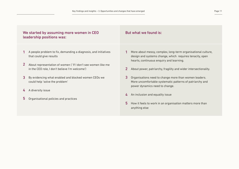#### We started by assuming more women in CEO leadership positions was:

- 1 A people problem to fix, demanding a diagnosis, and initiatives that could give results
- 2 About representation of women ('If I don't see women like me in the CEO role, I don't believe I'm welcome')
- **3** By evidencing what enabled and blocked women CEOs we could help 'solve the problem'
- 4 A diversity issue
- Organisational policies and practices 5

#### But what we found is:

- 1 More about messy, complex, long-term organisational culture, design and systems change, which requires tenacity, open hearts, continuous enquiry and learning.
- 2 About power, patriarchy, fragility and wider intersectionality.
- **3** Organisations need to change more than women leaders. More uncomfortable systematic patterns of patriarchy and power dynamics need to change.
- 4 An inclusion and equality issue
- 5 How it feels to work in an organisation matters more than anything else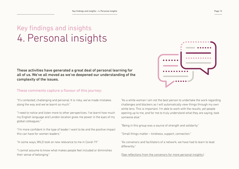### Key findings and insights 4. Personal insights

These activities have generated a great deal of personal learning for all of us. We've all moved as we've deepened our understanding of the complexity of the issues.

#### These comments capture a flavour of this journey:

"It's contested, challenging and personal. It is risky, we've made mistakes along the way and we've learnt so much."

"I need to notice and listen more to other perspectives. I've learnt how much my English language and London location gives me power in the eyes of my global colleagues."

"I'm more confident in the type of leader I want to be and the positive impact this can have for women leaders."

"In some ways, WILD took on new relevance to me in Covid-19."

"I cannot assume to know what makes people feel included or diminishes their sense of belonging."

"As a white woman I am not the best person to undertake the work regarding challenges and blockers as I will automatically view things through my own white lens. This is important. I'm able to work with the results, yet people opening up to me, and for me to truly understand what they are saying, took someone else."

"Being in this group was a source of strength and solidarity."

"Small things matter – kindness, support, connection."

"As convenors and facilitators of a network, we have had to learn to lead differently."

[\(See reflections from the convenors for more personal insights.\)](https://www.bond.org.uk/sites/default/files/reflections_from_the_convenor_facilitator.docx.pdf)

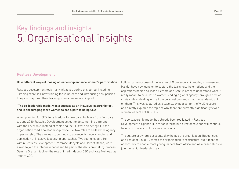### Key findings and insights 5. Organisational insights

#### [Restless Development](https://restlessdevelopment.org/)

#### How different ways of looking at leadership enhance women's participation

Restless development took many initiatives during this period, including listening exercises, new training for volunteers and introducing new policies. They also captured their learning from a co-leadership pilot.

#### "The co-leadership model was a success as an inclusive leadership tool and in encouraging more women to see a path to being CEO."

When planning for CEO Perry Maddox to take parental leave from February to June 2020, Restelss Development set out to do something different with the cover role. Instead of replacing the CEO with an acting CEO, the organisation tried a co-leadership model, i.e. two roles to co-lead the agency in partnership. The aim was to continue to advance its understanding and application of inclusive leadership approaches. Two young leaders from within Restless Development, Primrose Manyalo and Harriet Mason, were asked to join the interview panel and be part of the decision-making process. Gemma Graham took on the role of interim deputy CEO and Kate Muhwezi as interim COO.

Following the success of the interim CEO co-leadership model, Primrose and Harriet have now gone on to capture the learnings, the emotions and the aspirations behind co-leads, Gemma and Kate, in order to understand what it really meant to be a British women leading a global agency through a time of crisis - whilst dealing with all the personal demands that the pandemic put on them. This was captured as a [case study podcast](https://anchor.fm/restless-development/episodes/Restless-Developments-co-lead-story-eov7th) for the WILD research and directly explores the topic of why there are currently significantly fewer women leaders of UK INGOs.

The co-leadership model has already been replicated in Restless Development's Uganda Hub for an interim hub director role and will continue to inform future structure / role decisions.

The culture of dynamic accountability helped the organisation. Budget cuts as a result of Covid-19 forced the organisation to restructure, but it took the opportunity to enable more young leaders from Africa and Asia based Hubs to join the senior leadership team.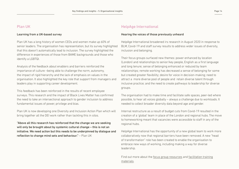#### [Plan UK](https://plan-uk.org/about/about-us)

#### Learning from a UK-based survey

Plan UK has a long history of women CEOs and women make up 60% of senior leaders. The organisation has representation, but its survey highlighted that this doesn't automatically lead to inclusion. The survey highlighted the difference in experiences of those from BAME backgrounds and those who identify a LGBTQI.

Analysis of the feedback about enablers and barriers reinforced the importance of culture –being able to challenge the norm, autonomy, the impact of rigid hierarchy and the lack of emphasis on values in the organisation. It also highlighted the key role that support from managers and leaders play in supporting career development.

This feedback has been reinforced in the results of recent employee surveys. This research and the impact of Black Lives Matter has confirmed the need to take an intersectional approach to gender inclusion to address fundamental issues of power, privilege and bias.

Plan UK is now developing one Diversity and Inclusion Action Plan which will bring together all the DEI work rather than tackling this in silos.

"Above all this research has reinforced that the change we are seeking will only be brought about by systemic cultural change – this is not an initiative. We need action but this needs to be underpinned by dialogue and reflection to change mind sets and behaviour." – Plan UK

#### [HelpAge International](https://www.helpage.org/)

#### Hearing the voices of those previously unheard

HelpAge International broadened irs research in August 2020 in response to BLM, Covid-19 and staff survey results to address wider issues of diversity, inclusion and belonging.

Their focus groups surfaced new themes: power enhanced by location (London) and relationships to senior/key people, English as a first language and long tenure; sense of belonging enhanced or reduced by team relationships; remote working has decreased a sense of belonging for some but created greater flexibility; desire for voice in decision-making; need to attract a more diverse pool of people and retain diverse talent through inclusive practice; and the need to create pathways to leadership for diverse groups.

The organisation had to make time and facilitate safe spaces, peer-led where possible, to hear all voices globally – always a challenge due to workloads. It needed to collect broader diversity data beyond age and gender.

Internal restructure as a result of budget cuts from Covid-19 resulted in the creation of a 'global' team in place of the London and regional hubs. The move to homeworking meant that vacancies were accessible to staff in any of the regional hubs.

HelpAge International has the opportunity of a new global team to work more collaboratively now that regional barriers have been removed. A new "head of transformation" role has been created to enable the organisation to embrace new ways of working, including making a way for diverse leadership.

Find out more about the [focus group resources](https://www.bond.org.uk/sites/default/files/helpage_focus_groups_template_30_oct_20.pptx) and [facilitation training](https://www.bond.org.uk/sites/default/files/helpage_sept_20_facilitation_version_2_blank.pptx) materials.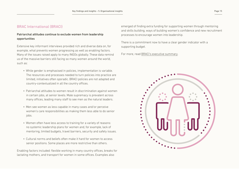#### [BRAC International \(BRACI\)](https://www.bracinternational.nl/en/)

#### Patriarchal attitudes continue to exclude women from leadership opportunities

Extensive key informant interviews provided rich and diverse data on, for example, what prevents women progressing as well as enabling factors. Many of the issues raised apply to many INGOs globally. These data remind us of the massive barriers still facing so many women around the world, such as:

- While gender is emphasised in policies, implementation is variable. The resources and processes needed to turn policies into practice are limited, initiatives often sporadic. BRACI policies are not adapted and country-contextualized in all the country offices.
- Patriarchal attitudes to women result in discrimination against women in certain jobs, at senior levels. Male supremacy is prevalent across many offices, leading many staff to see men as the natural leaders.
- Men see women as less capable in many cases and/or perceive women's care responsibilities as making them less able to do senior jobs.
- Women often have less access to training for a variety of reasons: no systemic leadership plans for women and, for example, lack of mentoring, limited budgets, travel barriers, security and safety issues.
- Cultural norms and beliefs often make it hard for women to access senior positions. Some places are more restrictive than others.

Enabling factors included: flexible working in many country offices, breaks for lactating mothers, and transport for women in some offices. Examples also

emerged of finding extra funding for supporting women through mentoring and skills building, ways of building women's confidence and new recruitment processes to encourage women into leadership.

There is a commitment now to have a clear gender indicator with a supporting budget.

For more, [read BRACI's executive summary](https://www.bond.org.uk/sites/default/files/braci_exec_summary_of_action_research_into_womens_leadership_april_2021.docx.pdf).

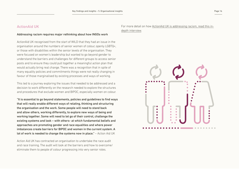#### [ActionAid UK](https://www.actionaid.org.uk/)

#### Addressing racism requires major rethinking about how INGOs work

ActionAid UK recognised from the start of WILD that they had an issue in the organisation around the numbers of senior women of colour, openly LGBTQ+, or those with disabilities within the senior levels of the organisation. They were focused on women's leadership but wanted to go beyond gender to understand the barriers and challenges for different groups to access senior posts and to ensure they could pull together a meaningful action plan that would actually bring real change. There was a recognition that in spite of many equality policies and commitments things were not really changing in favour of those marginalised by existing processes and ways of working.

This led to a journey exploring the issues that needed to be addressed and a decision to work differently on the research needed to explore the structures and procedures that exclude women and BIPOC, especially women on colour.

"It is essential to go beyond statements, policies and guidelines to find ways that will really enable different ways of relating, thinking and structuring the organisation and the work. Some people will need to stand back and allow others, working differently, to explore new ways of being and working together. Some will need to let go of their control, challenge the existing systems and look – with others- at which fundamental beliefs and approaches are promoting gender and race equalities and where power imbalances create barriers for BIPOC and women in the current system. A lot of work is needed to change the systems now in place." – Action Aid UK

Action Aid UK has contracted an organisation to undertake the race audit and race training. The audit will look at the barriers and how to overcome/ eliminate them to people of colour progressing into very senior roles.

[For more detail on how ActionAid UK is addressing racism](https://www.bond.org.uk/sites/default/files/aauk_research_march_2021_approved.docx.pdf), read this indepth interview.

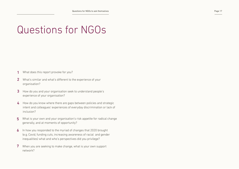# Questions for NGOs

- What does this report provoke for you? 1
- What's similar and what's different to the experience of your organisation? 2
- 3 How do you and your organisation seek to understand people's experience of your organisation?
- How do you know where there are gaps between policies and strategic intent and colleagues' experiences of everyday discrimination or lack of inclusion? 4
- What is your own and your organisation's risk appetite for radical change generally, and at moments of opportunity? 5
- In how you responded to the myriad of changes that 2020 brought (e.g. Covid, funding cuts, increasing awareness of racial and gender inequalities) what and who's perspectives did you privilege? 6
- When you are seeking to make change, what is your own support network? 7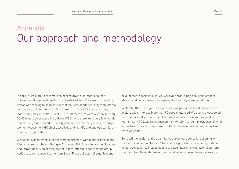### Appendix Our approach and methodology

In early 2019, a group of female chief executives of international nongovernmental organisations (INGOs), frustrated with the slow progress the sector was making to align its external focus on gender equality with internal culture, began to organise. So few women in the INGO sector are in key leadership roles; in 2019, 70% of INGO staff members were women, but only 30-35% were chief executive officers (CEOs) and there were very few female Chairs. Our group wanted to identify and build on the things that encourage women to become INGO chief executives and identify and unblock barriers in their own organisations.

We began by identifying dynamic women directors within our organisations. Penny Lawrence, chair of Refugee Action and Fair Share for Women Leaders and former deputy chief executive of Oxfam, offered to convene the group. Action research support came from Sarah Fraser, director of organisational

development specialists Mayvin, Carolyn Norgate, principal consultant at Mayvin, and Lena Bheeroo, engagement and equity manager at Bond.

In March 2019, we organised a workshop as part of the Bond conference to explore wider interest. More than 90 people attended. We then crowdsourced our first data set and launched the idea of an action research network – Women as INGO Leaders in Development (WILD) – to identify evidence of what works to encourage more women CEOs. All levels of interest and expertise were welcome.

Bond led the design of the quantitative survey data collection, aligning with the Europe-wide monitor Fair Share campaign. Bond subsequently widened its data collection to include people of colour. Learning was also taken from the Hampton-Alexander Review, an initiative to increase the representation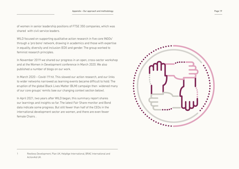of women in senior leadership positions of FTSE 350 companies, which was shared with civil service leaders.

WILD focused on supporting qualitative action research in five core INGOs<sup>1</sup> through a 'pro bono' network, drawing in academics and those with expertise in equality, diversity and inclusion (EDI) and gender. The group worked to feminist research principles.

In November 2019 we shared our progress in an open, cross-sector workshop and at the Women in Development conference in March 2020. We also published a number of blogs on our work.

In March 2020 – Covid-19 hit. This slowed our action research, and our links to wider networks narrowed as learning events became difficult to hold. The eruption of the global Black Lives Matter (BLM) campaign then widened many of our core groups' remits (see our changing context section below).

In April 2021, two years after WILD began, this summary report shares our learnings and insights so far. The latest Fair Share monitor and Bond data indicate some progress. But still fewer than half of the CEOs in the international development sector are women, and there are even fewer female Chairs .



Restless Development, Plan UK, HelpAge International, BRAC International and ActionAid UK.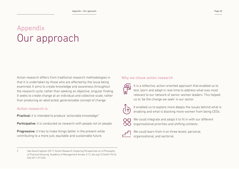### Appendix Our approach

Action research differs from traditional research methodologies in that it is undertaken by those who are affected by the issue being examined. It aims to create knowledge and awareness throughout the research cycle, rather than seeking an objective, singular finding. It seeks to create change at an individual and collective scale, rather than producing an abstracted, generalisable concept of change.

#### Action research is:

Practical: it is intended to produce 'actionable knowledge'2

Participative: it is conducted as research with people not on people

**Progressive:** it tries to make things better in the present while contributing to a more just, equitable and sustainable future.

#### Why we chose action research



It is a reflective, action-oriented approach that enabled us to test, learn and adapt in real-time to address what was most relevant to our network of senior women leaders. This helped us to 'be the change we seek' in our sector.



It enabled us to explore more deeply the issues behind what is enabling and what is blocking more women from being CEOs.



We could integrate and adapt it to fit in with our different organisational priorities and shifting contexts.



We could learn from it on three levels: personal, organisational, and sectorial.

<sup>2</sup> See David Coghlan (2011) ['Action Research: Exploring Perspectives on a Philosophy](https://journals.aom.org/doi/full/10.5465/19416520.2011.571520)  [of Practical Knowing',](https://journals.aom.org/doi/full/10.5465/19416520.2011.571520) Academy of Management Annals, 5 (1), [doi.org/10.5465/19416](https://doi.org/10.5465/19416520.2011.571520) [520.2011.571520.](https://doi.org/10.5465/19416520.2011.571520)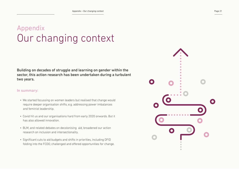### Appendix Our changing context

Building on decades of struggle and learning on gender within the sector, this action research has been undertaken during a turbulent two years.

#### In summary:

- We started focussing on women leaders but realised that change would require deeper organisation shifts, e.g. addressing power imbalances and feminist leadership.
- Covid hit us and our organisations hard from early 2020 onwards. But it has also allowed innovation.
- BLM, and related debates on decolonising aid, broadened our action research on inclusion and intersectionality.
- Significant cuts to aid budgets and shifts in priorities, including DFID folding into the FCDO, challenged and offered opportunities for change.